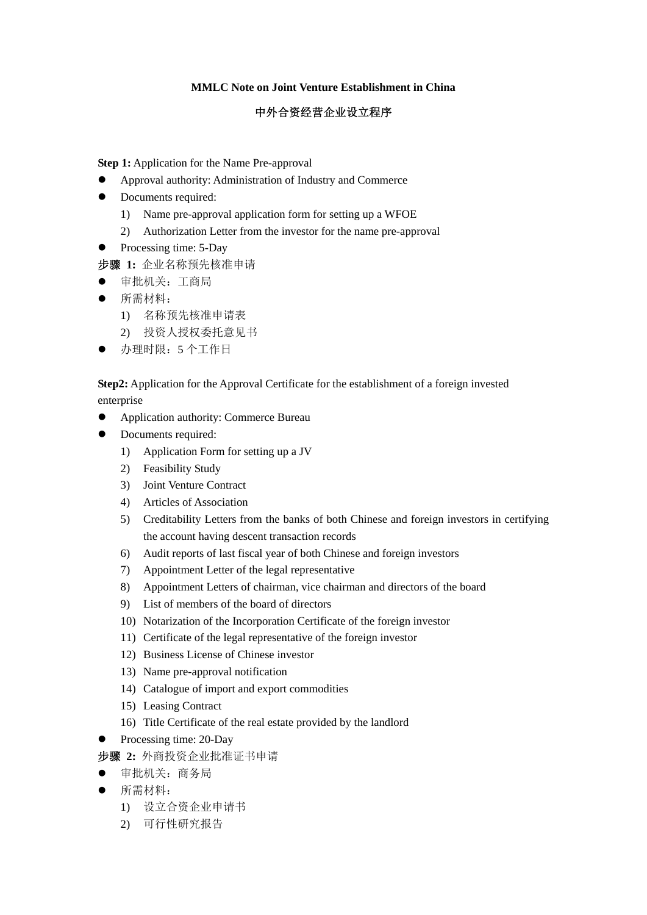## **MMLC Note on Joint Venture Establishment in China**

## 中外合资经营企业设立程序

**Step 1:** Application for the Name Pre-approval

- Approval authority: Administration of Industry and Commerce
- Documents required:
	- 1) Name pre-approval application form for setting up a WFOE
	- 2) Authorization Letter from the investor for the name pre-approval
- Processing time: 5-Day
- 步骤 **1:** 企业名称预先核准申请
- z 审批机关:工商局
- z 所需材料:
	- 1) 名称预先核准申请表
	- 2) 投资人授权委托意见书
- 办理时限: 5 个工作日

**Step2:** Application for the Approval Certificate for the establishment of a foreign invested enterprise

- Application authority: Commerce Bureau
- Documents required:
	- 1) Application Form for setting up a JV
	- 2) Feasibility Study
	- 3) Joint Venture Contract
	- 4) Articles of Association
	- 5) Creditability Letters from the banks of both Chinese and foreign investors in certifying the account having descent transaction records
	- 6) Audit reports of last fiscal year of both Chinese and foreign investors
	- 7) Appointment Letter of the legal representative
	- 8) Appointment Letters of chairman, vice chairman and directors of the board
	- 9) List of members of the board of directors
	- 10) Notarization of the Incorporation Certificate of the foreign investor
	- 11) Certificate of the legal representative of the foreign investor
	- 12) Business License of Chinese investor
	- 13) Name pre-approval notification
	- 14) Catalogue of import and export commodities
	- 15) Leasing Contract
	- 16) Title Certificate of the real estate provided by the landlord
- $\bullet$  Processing time: 20-Day
- 步骤 **2:** 外商投资企业批准证书申请
- z 审批机关:商务局
- z 所需材料:
	- 1) 设立合资企业申请书
	- 2) 可行性研究报告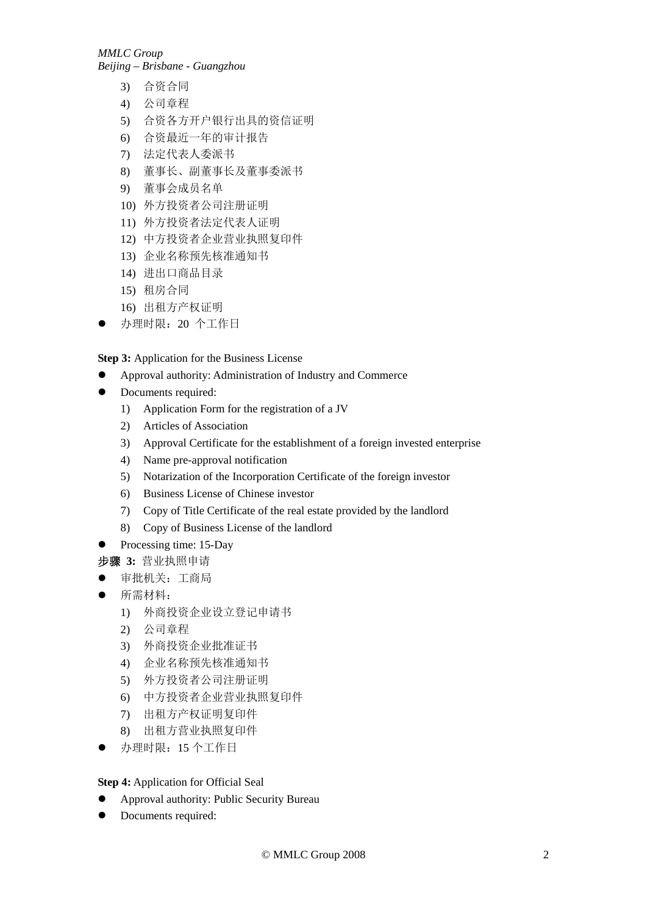*MMLC Group* 

*Beijing – Brisbane - Guangzhou* 

- 3) 合资合同
- 4) 公司章程
- 5) 合资各方开户银行出具的资信证明
- 6) 合资最近一年的审计报告
- 7) 法定代表人委派书
- 8) 董事长、副董事长及董事委派书
- 9) 董事会成员名单
- 10) 外方投资者公司注册证明
- 11) 外方投资者法定代表人证明
- 12) 中方投资者企业营业执照复印件
- 13) 企业名称预先核准通知书
- 14) 进出口商品目录
- 15) 租房合同
- 16) 出租方产权证明
- 办理时限: 20 个工作日

**Step 3:** Application for the Business License

- Approval authority: Administration of Industry and Commerce
- Documents required:
	- 1) Application Form for the registration of a JV
	- 2) Articles of Association
	- 3) Approval Certificate for the establishment of a foreign invested enterprise
	- 4) Name pre-approval notification
	- 5) Notarization of the Incorporation Certificate of the foreign investor
	- 6) Business License of Chinese investor
	- 7) Copy of Title Certificate of the real estate provided by the landlord
	- 8) Copy of Business License of the landlord
- $\bullet$  Processing time: 15-Day
- 步骤 **3:** 营业执照申请
- z 审批机关:工商局
- z 所需材料:
	- 1) 外商投资企业设立登记申请书
	- 2) 公司章程
	- 3) 外商投资企业批准证书
	- 4) 企业名称预先核准通知书
	- 5) 外方投资者公司注册证明
	- 6) 中方投资者企业营业执照复印件
	- 7) 出租方产权证明复印件
	- 8) 出租方营业执照复印件
- 办理时限: 15 个工作日

**Step 4:** Application for Official Seal

- Approval authority: Public Security Bureau
- Documents required: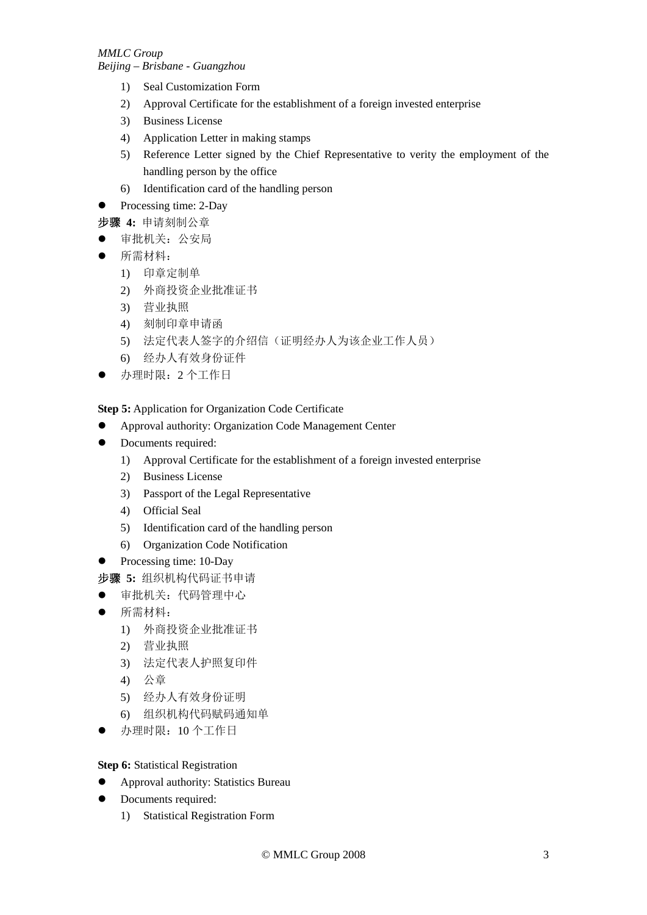*Beijing – Brisbane - Guangzhou* 

- 1) Seal Customization Form
- 2) Approval Certificate for the establishment of a foreign invested enterprise
- 3) Business License
- 4) Application Letter in making stamps
- 5) Reference Letter signed by the Chief Representative to verity the employment of the handling person by the office
- 6) Identification card of the handling person
- $\bullet$  Processing time: 2-Day
- 步骤 **4:** 申请刻制公章
- z 审批机关:公安局
- z 所需材料:
	- 1) 印章定制单
	- 2) 外商投资企业批准证书
	- 3) 营业执照
	- 4) 刻制印章申请函
	- 5) 法定代表人签字的介绍信(证明经办人为该企业工作人员)
	- 6) 经办人有效身份证件
- 办理时限: 2 个工作日

**Step 5:** Application for Organization Code Certificate

- Approval authority: Organization Code Management Center
- Documents required:
	- 1) Approval Certificate for the establishment of a foreign invested enterprise
	- 2) Business License
	- 3) Passport of the Legal Representative
	- 4) Official Seal
	- 5) Identification card of the handling person
	- 6) Organization Code Notification
- Processing time: 10-Day
- 步骤 **5:** 组织机构代码证书申请
- z 审批机关:代码管理中心
- z 所需材料:
	- 1) 外商投资企业批准证书
	- 2) 营业执照
	- 3) 法定代表人护照复印件
	- 4) 公章
	- 5) 经办人有效身份证明
	- 6) 组织机构代码赋码通知单
- 办理时限: 10 个工作日

**Step 6:** Statistical Registration

- Approval authority: Statistics Bureau
- Documents required:
	- 1) Statistical Registration Form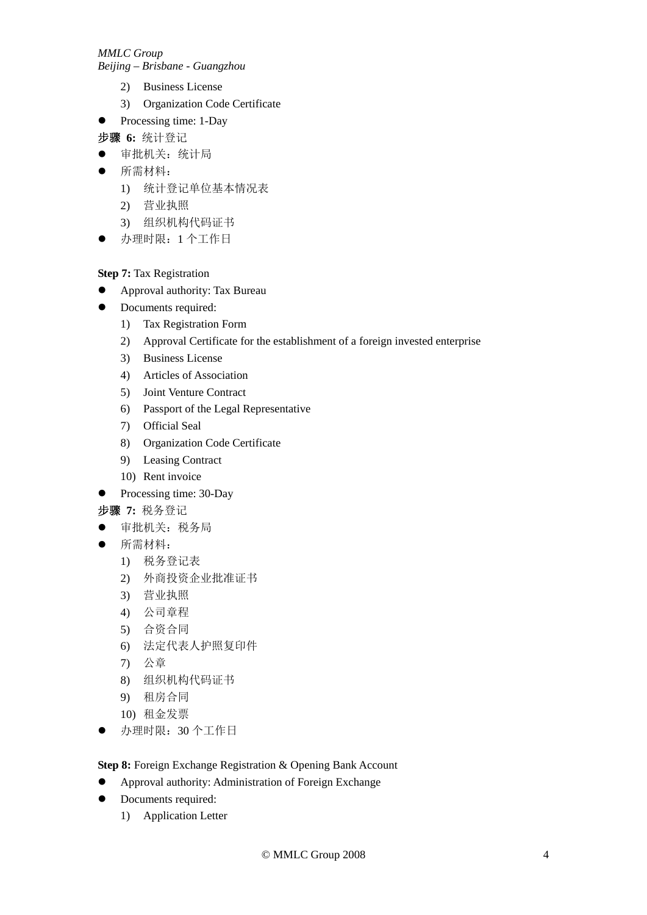*MMLC Group* 

*Beijing – Brisbane - Guangzhou* 

- 2) Business License
- 3) Organization Code Certificate
- Processing time: 1-Day
- 步骤 **6:** 统计登记
- z 审批机关:统计局
- z 所需材料:
	- 1) 统计登记单位基本情况表
	- 2) 营业执照
	- 3) 组织机构代码证书
- 办理时限: 1 个工作日

**Step 7:** Tax Registration

- **•** Approval authority: Tax Bureau
- Documents required:
	- 1) Tax Registration Form
	- 2) Approval Certificate for the establishment of a foreign invested enterprise
	- 3) Business License
	- 4) Articles of Association
	- 5) Joint Venture Contract
	- 6) Passport of the Legal Representative
	- 7) Official Seal
	- 8) Organization Code Certificate
	- 9) Leasing Contract
	- 10) Rent invoice
- $\bullet$  Processing time: 30-Day
- 步骤 **7:** 税务登记
- z 审批机关:税务局
- z 所需材料:
	- 1) 税务登记表
	- 2) 外商投资企业批准证书
	- 3) 营业执照
	- 4) 公司章程
	- 5) 合资合同
	- 6) 法定代表人护照复印件
	- 7) 公章
	- 8) 组织机构代码证书
	- 9) 租房合同
	- 10) 租金发票
- 办理时限: 30 个工作日

**Step 8:** Foreign Exchange Registration & Opening Bank Account

- Approval authority: Administration of Foreign Exchange
- Documents required:
	- 1) Application Letter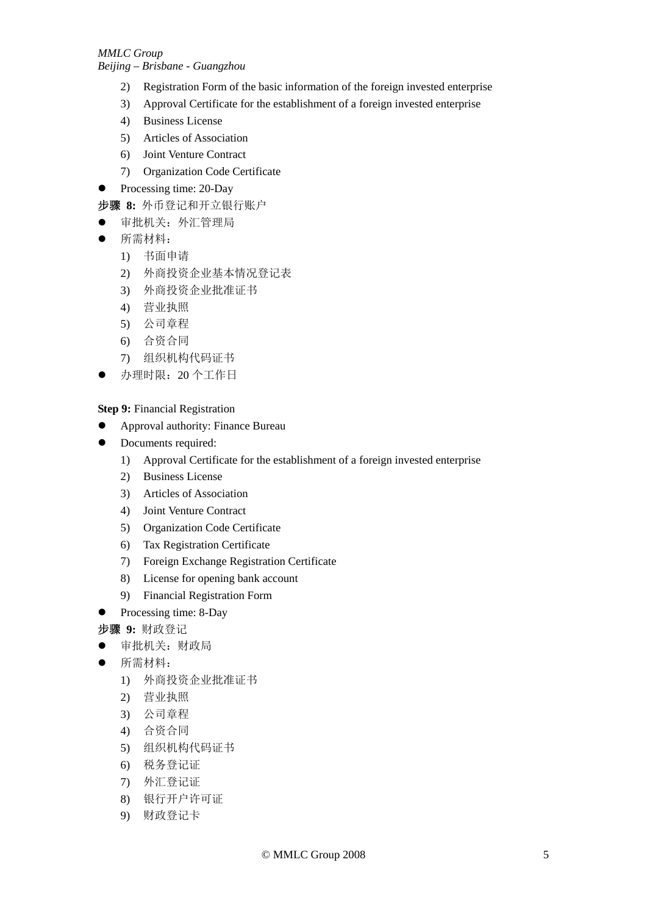- 2) Registration Form of the basic information of the foreign invested enterprise
- 3) Approval Certificate for the establishment of a foreign invested enterprise
- 4) Business License
- 5) Articles of Association
- 6) Joint Venture Contract
- 7) Organization Code Certificate
- $\bullet$  Processing time: 20-Day
- 步骤 **8:** 外币登记和开立银行账户
- z 审批机关:外汇管理局
- z 所需材料:
	- 1) 书面申请
	- 2) 外商投资企业基本情况登记表
	- 3) 外商投资企业批准证书
	- 4) 营业执照
	- 5) 公司章程
	- 6) 合资合同
	- 7) 组织机构代码证书
	- 办理时限: 20 个工作日

**Step 9:** Financial Registration

- **•** Approval authority: Finance Bureau
- Documents required:
	- 1) Approval Certificate for the establishment of a foreign invested enterprise
	- 2) Business License
	- 3) Articles of Association
	- 4) Joint Venture Contract
	- 5) Organization Code Certificate
	- 6) Tax Registration Certificate
	- 7) Foreign Exchange Registration Certificate
	- 8) License for opening bank account
	- 9) Financial Registration Form
- $\bullet$  Processing time: 8-Day

步骤 **9:** 财政登记

- z 审批机关:财政局
- z 所需材料:
	- 1) 外商投资企业批准证书
	- 2) 营业执照
	- 3) 公司章程
	- 4) 合资合同
	- 5) 组织机构代码证书
	- 6) 税务登记证
	- 7) 外汇登记证
	- 8) 银行开户许可证
	- 9) 财政登记卡